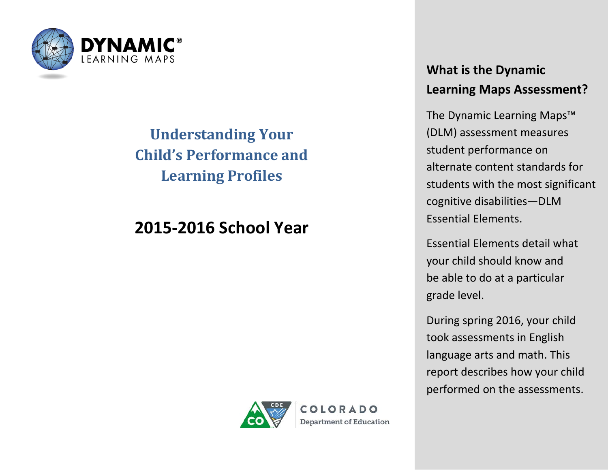

# **Understanding Your Child's Performance and Learning Profiles**

# **2015-2016 School Year**

COIORADO **Department of Education** 

### **What is the Dynamic Learning Maps Assessment?**

The Dynamic Learning Maps™ (DLM) assessment measures student performance on alternate content standards for students with the most significant cognitive disabilities—DLM Essential Elements.

Essential Elements detail what your child should know and be able to do at a particular grade level.

During spring 2016, your child took assessments in English language arts and math. This report describes how your child performed on the assessments.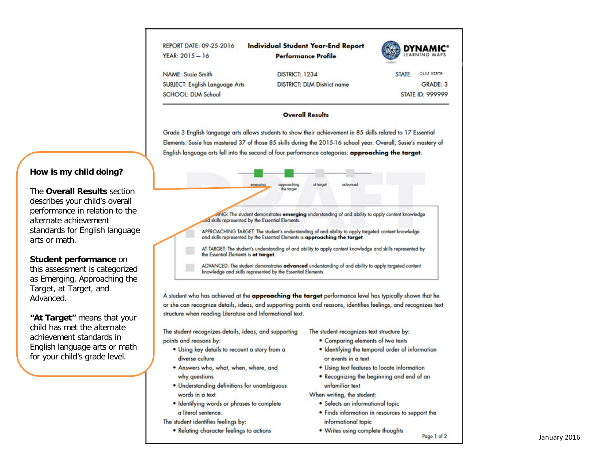| REPORT DATE: 09-25-2016<br>$YEAR: 2015 - 16$ | <b>Individual Student Year-End Report</b><br><b>Performance Profile</b> |                         | <b>DYNAMIC<sup>®</sup></b> |
|----------------------------------------------|-------------------------------------------------------------------------|-------------------------|----------------------------|
| <b>NAME: Susie Smith</b>                     | DISTRICT: 1234                                                          | STATE:                  | <b>DLM State</b>           |
| SUBJECT: English Language Arts               | <b>DISTRICT: DIM District name</b>                                      |                         | GRADE: 3                   |
| SCHOOL: DIM School                           |                                                                         | <b>STATE ID: 999999</b> |                            |

#### **Overall Results**

Grade 3 English language arts allows students to show their achievement in 85 skills related to 17 Essential Elements. Susie has mastered 37 of those 85 skills during the 2015-16 school year. Overall, Susie's mastery of English language arts fell into the second of four performance categories: approaching the target.



A student who has achieved at the approaching the target performance level has typically shown that he or she can recognize details, ideas, and supporting points and reasons, identifies feelings, and recognizes text structure when reading Literature and Informational text.

The student recognizes details, ideas, and supporting points and reasons by:

- . Using key details to recount a story from a diverse culture
- . Answers who, what, when, where, and why questions
- · Understanding definitions for unambiguous words in a text
- · Identifying words or phrases to complete a literal sentence.
- The student identifies feelings by:
	- Relating character feelings to actions

The student recognizes text structure by:

- . Comparing elements of two texts
- . Identifying the temporal order of information or events in a text
- . Using text features to locate information
- . Recognizing the beginning and end of an unfamiliar text

When writing, the student:

- · Selects an informational topic
- . Finds information in resources to support the informational topic
- . Writes using complete thoughts

### How is my child doing?

The Overall Results section describes your child's overall performance in relation to the alternate achievement standards for English language arts or math.

#### Student performance on

this assessment is categorized as Emerging, Approaching the Target, at Target, and Advanced.

"At Target" means that your child has met the alternate achievement standards in English language arts or math for your child's grade level.